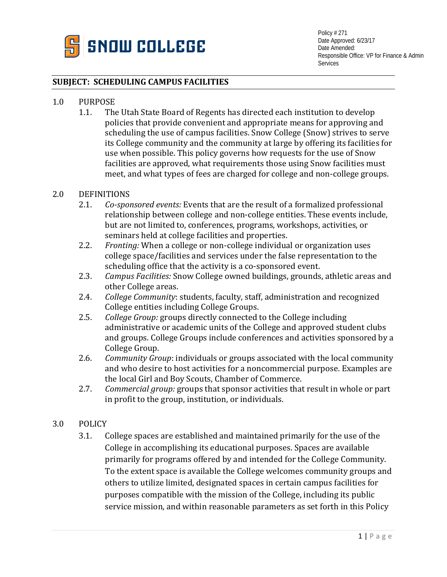

## **SUBJECT: SCHEDULING CAMPUS FACILITIES**

# 1.0 PURPOSE<br>1.1. The

The Utah State Board of Regents has directed each institution to develop policies that provide convenient and appropriate means for approving and scheduling the use of campus facilities. Snow College (Snow) strives to serve its College community and the community at large by offering its facilities for use when possible. This policy governs how requests for the use of Snow facilities are approved, what requirements those using Snow facilities must meet, and what types of fees are charged for college and non-college groups.

## 2.0 DEFINITIONS<br>2.1. Co-spot

- 2.1. *Co-sponsored events:* Events that are the result of a formalized professional relationship between college and non-college entities. These events include, but are not limited to, conferences, programs, workshops, activities, or seminars held at college facilities and properties.
- 2.2. *Fronting:* When a college or non-college individual or organization uses college space/facilities and services under the false representation to the scheduling office that the activity is a co-sponsored event.
- 2.3. *Campus Facilities:* Snow College owned buildings, grounds, athletic areas and other College areas.
- 2.4. *College Community*: students, faculty, staff, administration and recognized College entities including College Groups.
- 2.5. *College Group:* groups directly connected to the College including administrative or academic units of the College and approved student clubs and groups. College Groups include conferences and activities sponsored by a College Group.
- 2.6. *Community Group*: individuals or groups associated with the local community and who desire to host activities for a noncommercial purpose. Examples are the local Girl and Boy Scouts, Chamber of Commerce.
- 2.7. *Commercial group:* groups that sponsor activities that result in whole or part in profit to the group, institution, or individuals.

## 3.0 POLICY

3.1. College spaces are established and maintained primarily for the use of the College in accomplishing its educational purposes. Spaces are available primarily for programs offered by and intended for the College Community. To the extent space is available the College welcomes community groups and others to utilize limited, designated spaces in certain campus facilities for purposes compatible with the mission of the College, including its public service mission, and within reasonable parameters as set forth in this Policy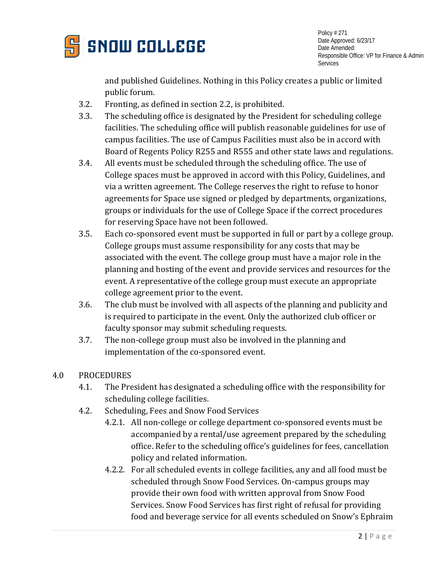

and published Guidelines. Nothing in this Policy creates a public or limited public forum.

- 3.2. Fronting, as defined in section 2.2, is prohibited.
- 3.3. The scheduling office is designated by the President for scheduling college facilities. The scheduling office will publish reasonable guidelines for use of campus facilities. The use of Campus Facilities must also be in accord with Board of Regents Policy R255 and R555 and other state laws and regulations.
- 3.4. All events must be scheduled through the scheduling office. The use of College spaces must be approved in accord with this Policy, Guidelines, and via a written agreement. The College reserves the right to refuse to honor agreements for Space use signed or pledged by departments, organizations, groups or individuals for the use of College Space if the correct procedures for reserving Space have not been followed.
- 3.5. Each co-sponsored event must be supported in full or part by a college group. College groups must assume responsibility for any costs that may be associated with the event. The college group must have a major role in the planning and hosting of the event and provide services and resources for the event. A representative of the college group must execute an appropriate college agreement prior to the event.
- 3.6. The club must be involved with all aspects of the planning and publicity and is required to participate in the event. Only the authorized club officer or faculty sponsor may submit scheduling requests.
- 3.7. The non-college group must also be involved in the planning and implementation of the co-sponsored event.

## 4.0 PROCEDURES

- 4.1. The President has designated a scheduling office with the responsibility for scheduling college facilities.
- 4.2. Scheduling, Fees and Snow Food Services
	- 4.2.1. All non-college or college department co-sponsored events must be accompanied by a rental/use agreement prepared by the scheduling office. Refer to the scheduling office's guidelines for fees, cancellation policy and related information.
	- 4.2.2. For all scheduled events in college facilities, any and all food must be scheduled through Snow Food Services. On-campus groups may provide their own food with written approval from Snow Food Services. Snow Food Services has first right of refusal for providing food and beverage service for all events scheduled on Snow's Ephraim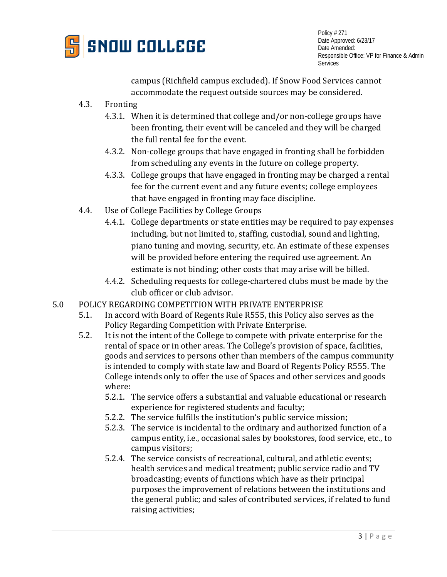

campus (Richfield campus excluded). If Snow Food Services cannot accommodate the request outside sources may be considered.

- 4.3. Fronting
	- 4.3.1. When it is determined that college and/or non-college groups have been fronting, their event will be canceled and they will be charged the full rental fee for the event.
	- 4.3.2. Non-college groups that have engaged in fronting shall be forbidden from scheduling any events in the future on college property.
	- 4.3.3. College groups that have engaged in fronting may be charged a rental fee for the current event and any future events; college employees that have engaged in fronting may face discipline.
- 4.4. Use of College Facilities by College Groups
	- 4.4.1. College departments or state entities may be required to pay expenses including, but not limited to, staffing, custodial, sound and lighting, piano tuning and moving, security, etc. An estimate of these expenses will be provided before entering the required use agreement. An estimate is not binding; other costs that may arise will be billed.
	- 4.4.2. Scheduling requests for college-chartered clubs must be made by the club officer or club advisor.
- 5.0 POLICY REGARDING COMPETITION WITH PRIVATE ENTERPRISE<br>5.1. In accord with Board of Regents Rule R555, this Policy also
	- 5.1. In accord with Board of Regents Rule R555, this Policy also serves as the Policy Regarding Competition with Private Enterprise.
	- 5.2. It is not the intent of the College to compete with private enterprise for the rental of space or in other areas. The College's provision of space, facilities, goods and services to persons other than members of the campus community is intended to comply with state law and Board of Regents Policy R555. The College intends only to offer the use of Spaces and other services and goods where:
		- 5.2.1. The service offers a substantial and valuable educational or research experience for registered students and faculty;
		- 5.2.2. The service fulfills the institution's public service mission;
		- 5.2.3. The service is incidental to the ordinary and authorized function of a campus entity, i.e., occasional sales by bookstores, food service, etc., to campus visitors;
		- 5.2.4. The service consists of recreational, cultural, and athletic events; health services and medical treatment; public service radio and TV broadcasting; events of functions which have as their principal purposes the improvement of relations between the institutions and the general public; and sales of contributed services, if related to fund raising activities;